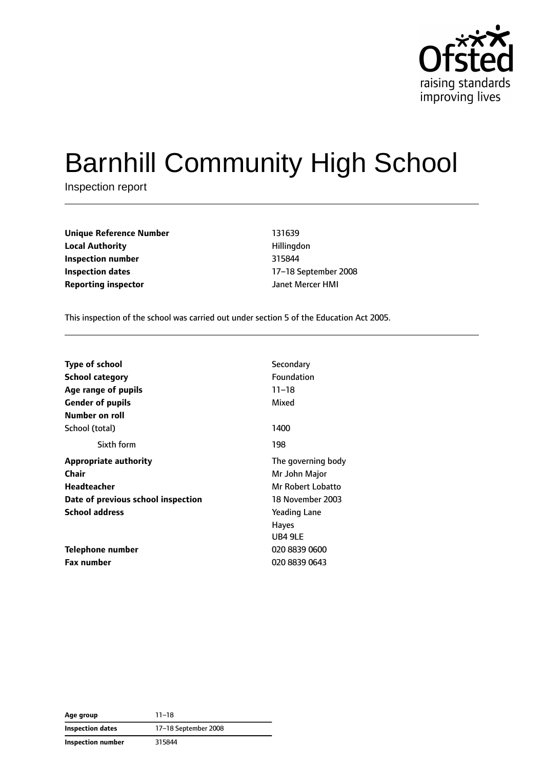

# Barnhill Community High School

Inspection report

| <b>Unique Reference Number</b> | 131639           |  |
|--------------------------------|------------------|--|
| <b>Local Authority</b>         | Hillingdon       |  |
| Inspection number              | 315844           |  |
| Inspection dates               | 17-18 September  |  |
| <b>Reporting inspector</b>     | Janet Mercer HMI |  |

**Local Authority** Hillingdon **Inspection number** 315844 **Inspection dates** 17–18 September 2008

This inspection of the school was carried out under section 5 of the Education Act 2005.

| <b>Type of school</b>              | Secondary           |
|------------------------------------|---------------------|
| <b>School category</b>             | <b>Foundation</b>   |
| Age range of pupils                | $11 - 18$           |
| <b>Gender of pupils</b>            | Mixed               |
| Number on roll                     |                     |
| School (total)                     | 1400                |
| Sixth form                         | 198                 |
| <b>Appropriate authority</b>       | The governing body  |
| Chair                              | Mr John Major       |
| <b>Headteacher</b>                 | Mr Robert Lobatto   |
| Date of previous school inspection | 18 November 2003    |
| <b>School address</b>              | <b>Yeading Lane</b> |
|                                    | <b>Hayes</b>        |
|                                    | UB4 9LE             |
| Telephone number                   | 020 8839 0600       |
| <b>Fax number</b>                  | 020 8839 0643       |

**Age group** 11–18 **Inspection dates** 17–18 September 2008 **Inspection number** 315844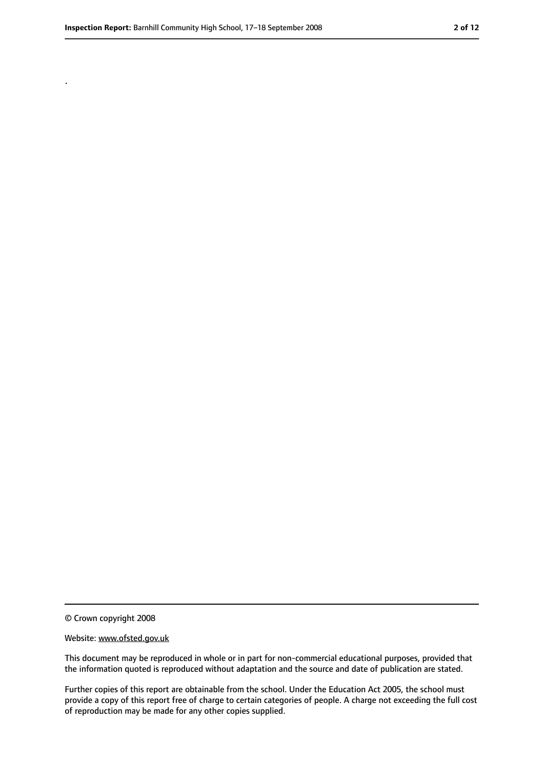.

<sup>©</sup> Crown copyright 2008

Website: www.ofsted.gov.uk

This document may be reproduced in whole or in part for non-commercial educational purposes, provided that the information quoted is reproduced without adaptation and the source and date of publication are stated.

Further copies of this report are obtainable from the school. Under the Education Act 2005, the school must provide a copy of this report free of charge to certain categories of people. A charge not exceeding the full cost of reproduction may be made for any other copies supplied.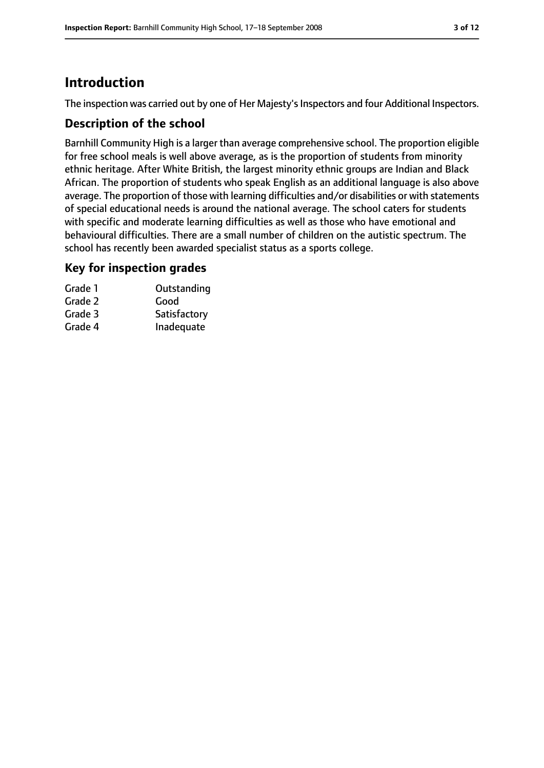### **Introduction**

The inspection was carried out by one of Her Majesty's Inspectors and four Additional Inspectors.

#### **Description of the school**

Barnhill Community High is a larger than average comprehensive school. The proportion eligible for free school meals is well above average, as is the proportion of students from minority ethnic heritage. After White British, the largest minority ethnic groups are Indian and Black African. The proportion of students who speak English as an additional language is also above average. The proportion of those with learning difficulties and/or disabilities or with statements of special educational needs is around the national average. The school caters for students with specific and moderate learning difficulties as well as those who have emotional and behavioural difficulties. There are a small number of children on the autistic spectrum. The school has recently been awarded specialist status as a sports college.

#### **Key for inspection grades**

| Grade 1 | Outstanding  |
|---------|--------------|
| Grade 2 | Good         |
| Grade 3 | Satisfactory |
| Grade 4 | Inadequate   |
|         |              |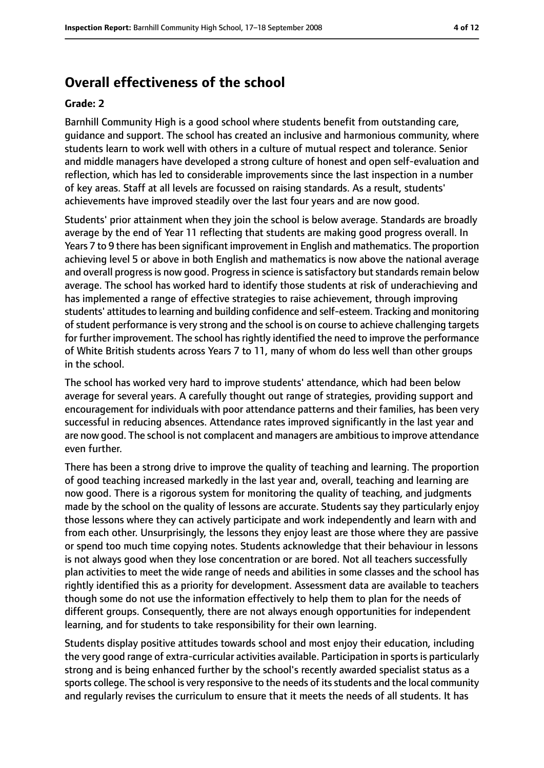### **Overall effectiveness of the school**

#### **Grade: 2**

Barnhill Community High is a good school where students benefit from outstanding care, guidance and support. The school has created an inclusive and harmonious community, where students learn to work well with others in a culture of mutual respect and tolerance. Senior and middle managers have developed a strong culture of honest and open self-evaluation and reflection, which has led to considerable improvements since the last inspection in a number of key areas. Staff at all levels are focussed on raising standards. As a result, students' achievements have improved steadily over the last four years and are now good.

Students' prior attainment when they join the school is below average. Standards are broadly average by the end of Year 11 reflecting that students are making good progress overall. In Years 7 to 9 there has been significant improvement in English and mathematics. The proportion achieving level 5 or above in both English and mathematics is now above the national average and overall progress is now good. Progress in science is satisfactory but standards remain below average. The school has worked hard to identify those students at risk of underachieving and has implemented a range of effective strategies to raise achievement, through improving students' attitudes to learning and building confidence and self-esteem. Tracking and monitoring of student performance is very strong and the school is on course to achieve challenging targets for further improvement. The school has rightly identified the need to improve the performance of White British students across Years 7 to 11, many of whom do less well than other groups in the school.

The school has worked very hard to improve students' attendance, which had been below average for several years. A carefully thought out range of strategies, providing support and encouragement for individuals with poor attendance patterns and their families, has been very successful in reducing absences. Attendance rates improved significantly in the last year and are now good. The school is not complacent and managers are ambitious to improve attendance even further.

There has been a strong drive to improve the quality of teaching and learning. The proportion of good teaching increased markedly in the last year and, overall, teaching and learning are now good. There is a rigorous system for monitoring the quality of teaching, and judgments made by the school on the quality of lessons are accurate. Students say they particularly enjoy those lessons where they can actively participate and work independently and learn with and from each other. Unsurprisingly, the lessons they enjoy least are those where they are passive or spend too much time copying notes. Students acknowledge that their behaviour in lessons is not always good when they lose concentration or are bored. Not all teachers successfully plan activities to meet the wide range of needs and abilities in some classes and the school has rightly identified this as a priority for development. Assessment data are available to teachers though some do not use the information effectively to help them to plan for the needs of different groups. Consequently, there are not always enough opportunities for independent learning, and for students to take responsibility for their own learning.

Students display positive attitudes towards school and most enjoy their education, including the very good range of extra-curricular activities available. Participation in sports is particularly strong and is being enhanced further by the school's recently awarded specialist status as a sports college. The school is very responsive to the needs of its students and the local community and regularly revises the curriculum to ensure that it meets the needs of all students. It has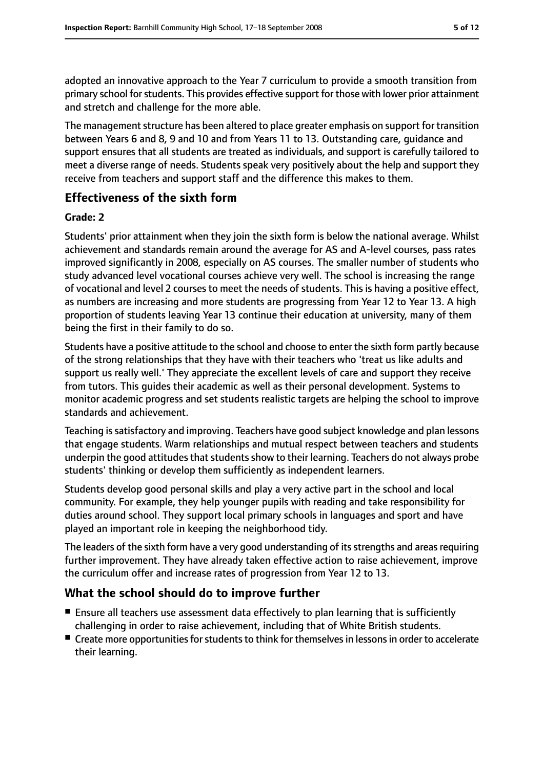adopted an innovative approach to the Year 7 curriculum to provide a smooth transition from primary school for students. This provides effective support for those with lower prior attainment and stretch and challenge for the more able.

The management structure has been altered to place greater emphasis on support for transition between Years 6 and 8, 9 and 10 and from Years 11 to 13. Outstanding care, guidance and support ensures that all students are treated as individuals, and support is carefully tailored to meet a diverse range of needs. Students speak very positively about the help and support they receive from teachers and support staff and the difference this makes to them.

#### **Effectiveness of the sixth form**

#### **Grade: 2**

Students' prior attainment when they join the sixth form is below the national average. Whilst achievement and standards remain around the average for AS and A-level courses, pass rates improved significantly in 2008, especially on AS courses. The smaller number of students who study advanced level vocational courses achieve very well. The school is increasing the range of vocational and level 2 courses to meet the needs of students. This is having a positive effect, as numbers are increasing and more students are progressing from Year 12 to Year 13. A high proportion of students leaving Year 13 continue their education at university, many of them being the first in their family to do so.

Students have a positive attitude to the school and choose to enter the sixth form partly because of the strong relationships that they have with their teachers who 'treat us like adults and support us really well.' They appreciate the excellent levels of care and support they receive from tutors. This guides their academic as well as their personal development. Systems to monitor academic progress and set students realistic targets are helping the school to improve standards and achievement.

Teaching issatisfactory and improving. Teachers have good subject knowledge and plan lessons that engage students. Warm relationships and mutual respect between teachers and students underpin the good attitudes that students show to their learning. Teachers do not always probe students' thinking or develop them sufficiently as independent learners.

Students develop good personal skills and play a very active part in the school and local community. For example, they help younger pupils with reading and take responsibility for duties around school. They support local primary schools in languages and sport and have played an important role in keeping the neighborhood tidy.

The leaders of the sixth form have a very good understanding of itsstrengths and areasrequiring further improvement. They have already taken effective action to raise achievement, improve the curriculum offer and increase rates of progression from Year 12 to 13.

#### **What the school should do to improve further**

- Ensure all teachers use assessment data effectively to plan learning that is sufficiently challenging in order to raise achievement, including that of White British students.
- Create more opportunities for students to think for themselves in lessons in order to accelerate their learning.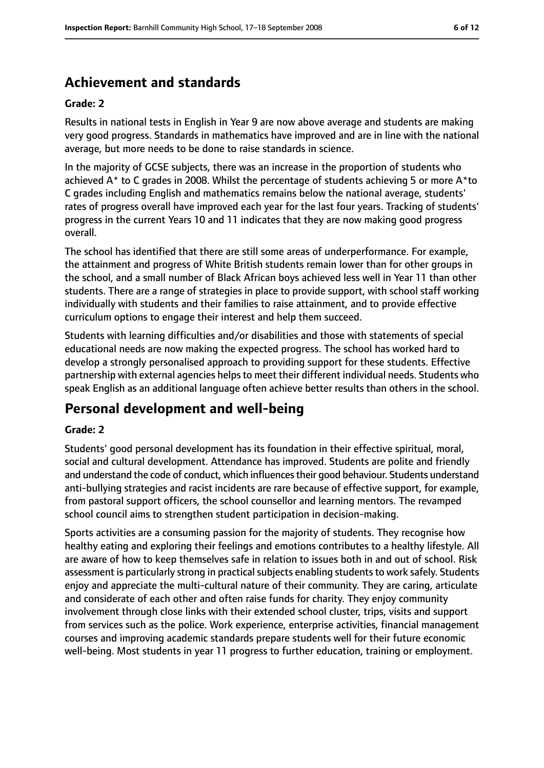### **Achievement and standards**

#### **Grade: 2**

Results in national tests in English in Year 9 are now above average and students are making very good progress. Standards in mathematics have improved and are in line with the national average, but more needs to be done to raise standards in science.

In the majority of GCSE subjects, there was an increase in the proportion of students who achieved  $A^*$  to C grades in 2008. Whilst the percentage of students achieving 5 or more  $A^*$ to C grades including English and mathematics remains below the national average, students' rates of progress overall have improved each year for the last four years. Tracking of students' progress in the current Years 10 and 11 indicates that they are now making good progress overall.

The school has identified that there are still some areas of underperformance. For example, the attainment and progress of White British students remain lower than for other groups in the school, and a small number of Black African boys achieved less well in Year 11 than other students. There are a range of strategies in place to provide support, with school staff working individually with students and their families to raise attainment, and to provide effective curriculum options to engage their interest and help them succeed.

Students with learning difficulties and/or disabilities and those with statements of special educational needs are now making the expected progress. The school has worked hard to develop a strongly personalised approach to providing support for these students. Effective partnership with external agencies helps to meet their different individual needs. Students who speak English as an additional language often achieve better results than others in the school.

### **Personal development and well-being**

#### **Grade: 2**

Students' good personal development has its foundation in their effective spiritual, moral, social and cultural development. Attendance has improved. Students are polite and friendly and understand the code of conduct, which influences their good behaviour. Students understand anti-bullying strategies and racist incidents are rare because of effective support, for example, from pastoral support officers, the school counsellor and learning mentors. The revamped school council aims to strengthen student participation in decision-making.

Sports activities are a consuming passion for the majority of students. They recognise how healthy eating and exploring their feelings and emotions contributes to a healthy lifestyle. All are aware of how to keep themselves safe in relation to issues both in and out of school. Risk assessment is particularly strong in practical subjects enabling students to work safely. Students enjoy and appreciate the multi-cultural nature of their community. They are caring, articulate and considerate of each other and often raise funds for charity. They enjoy community involvement through close links with their extended school cluster, trips, visits and support from services such as the police. Work experience, enterprise activities, financial management courses and improving academic standards prepare students well for their future economic well-being. Most students in year 11 progress to further education, training or employment.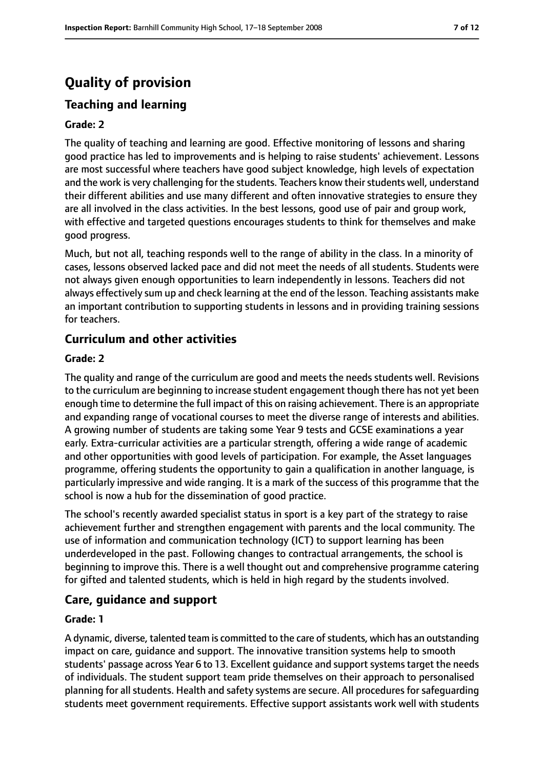### **Quality of provision**

### **Teaching and learning**

#### **Grade: 2**

The quality of teaching and learning are good. Effective monitoring of lessons and sharing good practice has led to improvements and is helping to raise students' achievement. Lessons are most successful where teachers have good subject knowledge, high levels of expectation and the work is very challenging for the students. Teachers know their students well, understand their different abilities and use many different and often innovative strategies to ensure they are all involved in the class activities. In the best lessons, good use of pair and group work, with effective and targeted questions encourages students to think for themselves and make good progress.

Much, but not all, teaching responds well to the range of ability in the class. In a minority of cases, lessons observed lacked pace and did not meet the needs of all students. Students were not always given enough opportunities to learn independently in lessons. Teachers did not always effectively sum up and check learning at the end of the lesson. Teaching assistants make an important contribution to supporting students in lessons and in providing training sessions for teachers.

#### **Curriculum and other activities**

#### **Grade: 2**

The quality and range of the curriculum are good and meets the needs students well. Revisions to the curriculum are beginning to increase student engagement though there has not yet been enough time to determine the full impact of this on raising achievement. There is an appropriate and expanding range of vocational courses to meet the diverse range of interests and abilities. A growing number of students are taking some Year 9 tests and GCSE examinations a year early. Extra-curricular activities are a particular strength, offering a wide range of academic and other opportunities with good levels of participation. For example, the Asset languages programme, offering students the opportunity to gain a qualification in another language, is particularly impressive and wide ranging. It is a mark of the success of this programme that the school is now a hub for the dissemination of good practice.

The school's recently awarded specialist status in sport is a key part of the strategy to raise achievement further and strengthen engagement with parents and the local community. The use of information and communication technology (ICT) to support learning has been underdeveloped in the past. Following changes to contractual arrangements, the school is beginning to improve this. There is a well thought out and comprehensive programme catering for gifted and talented students, which is held in high regard by the students involved.

#### **Care, guidance and support**

#### **Grade: 1**

A dynamic, diverse, talented team is committed to the care of students, which has an outstanding impact on care, guidance and support. The innovative transition systems help to smooth students' passage across Year 6 to 13. Excellent guidance and support systems target the needs of individuals. The student support team pride themselves on their approach to personalised planning for all students. Health and safety systems are secure. All procedures for safeguarding students meet government requirements. Effective support assistants work well with students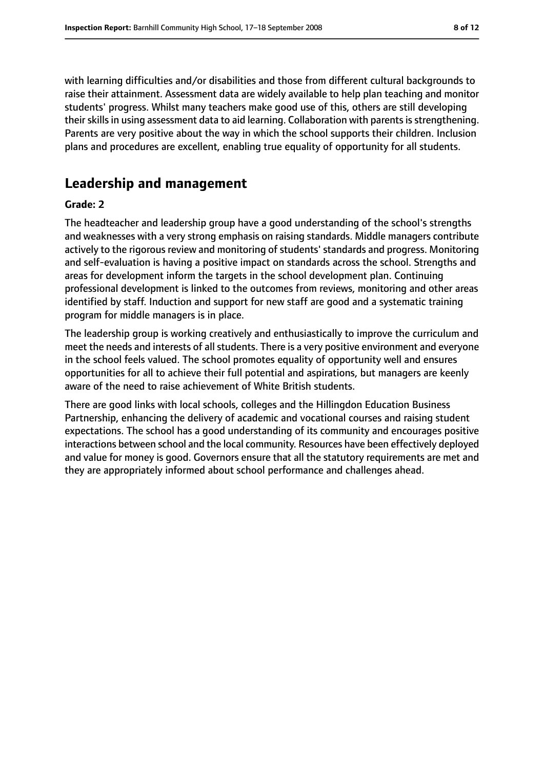with learning difficulties and/or disabilities and those from different cultural backgrounds to raise their attainment. Assessment data are widely available to help plan teaching and monitor students' progress. Whilst many teachers make good use of this, others are still developing their skills in using assessment data to aid learning. Collaboration with parents is strengthening. Parents are very positive about the way in which the school supports their children. Inclusion plans and procedures are excellent, enabling true equality of opportunity for all students.

### **Leadership and management**

#### **Grade: 2**

The headteacher and leadership group have a good understanding of the school's strengths and weaknesses with a very strong emphasis on raising standards. Middle managers contribute actively to the rigorous review and monitoring of students' standards and progress. Monitoring and self-evaluation is having a positive impact on standards across the school. Strengths and areas for development inform the targets in the school development plan. Continuing professional development is linked to the outcomes from reviews, monitoring and other areas identified by staff. Induction and support for new staff are good and a systematic training program for middle managers is in place.

The leadership group is working creatively and enthusiastically to improve the curriculum and meet the needs and interests of all students. There is a very positive environment and everyone in the school feels valued. The school promotes equality of opportunity well and ensures opportunities for all to achieve their full potential and aspirations, but managers are keenly aware of the need to raise achievement of White British students.

There are good links with local schools, colleges and the Hillingdon Education Business Partnership, enhancing the delivery of academic and vocational courses and raising student expectations. The school has a good understanding of its community and encourages positive interactions between school and the local community. Resources have been effectively deployed and value for money is good. Governors ensure that all the statutory requirements are met and they are appropriately informed about school performance and challenges ahead.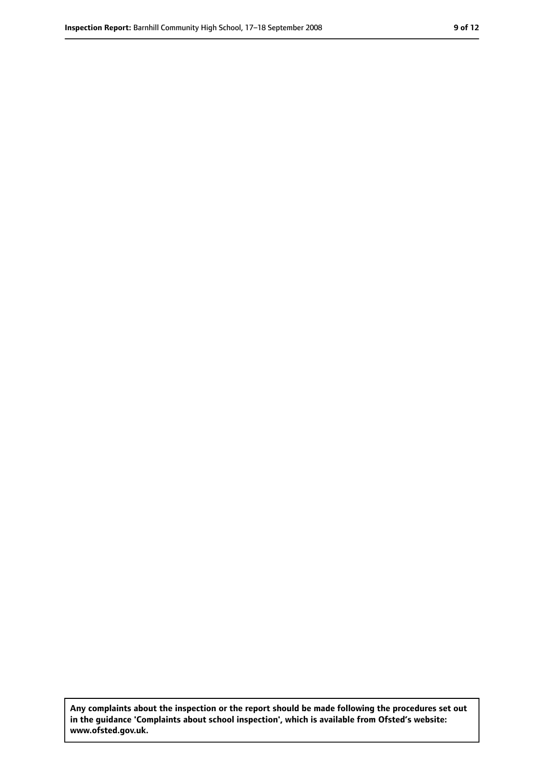**Any complaints about the inspection or the report should be made following the procedures set out in the guidance 'Complaints about school inspection', which is available from Ofsted's website: www.ofsted.gov.uk.**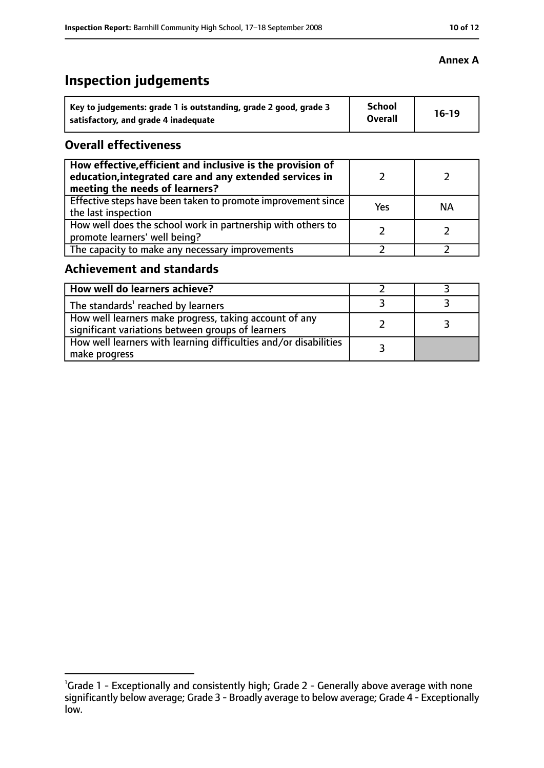#### **Annex A**

### **Inspection judgements**

| Key to judgements: grade 1 is outstanding, grade 2 good, grade 3 | <b>School</b><br><b>Overall</b> | 16-19 |
|------------------------------------------------------------------|---------------------------------|-------|
| satisfactory, and grade 4 inadequate                             |                                 |       |

#### **Overall effectiveness**

| How effective, efficient and inclusive is the provision of<br>education, integrated care and any extended services in<br>meeting the needs of learners? |     |           |
|---------------------------------------------------------------------------------------------------------------------------------------------------------|-----|-----------|
| Effective steps have been taken to promote improvement since<br>the last inspection                                                                     | Yes | <b>NA</b> |
| How well does the school work in partnership with others to<br>promote learners' well being?                                                            |     |           |
| The capacity to make any necessary improvements                                                                                                         |     |           |

### **Achievement and standards**

| How well do learners achieve?                                                                               |  |
|-------------------------------------------------------------------------------------------------------------|--|
| The standards <sup>1</sup> reached by learners                                                              |  |
| How well learners make progress, taking account of any<br>significant variations between groups of learners |  |
| How well learners with learning difficulties and/or disabilities<br>make progress                           |  |

<sup>&</sup>lt;sup>1</sup>Grade 1 - Exceptionally and consistently high; Grade 2 - Generally above average with none significantly below average; Grade 3 - Broadly average to below average; Grade 4 - Exceptionally low.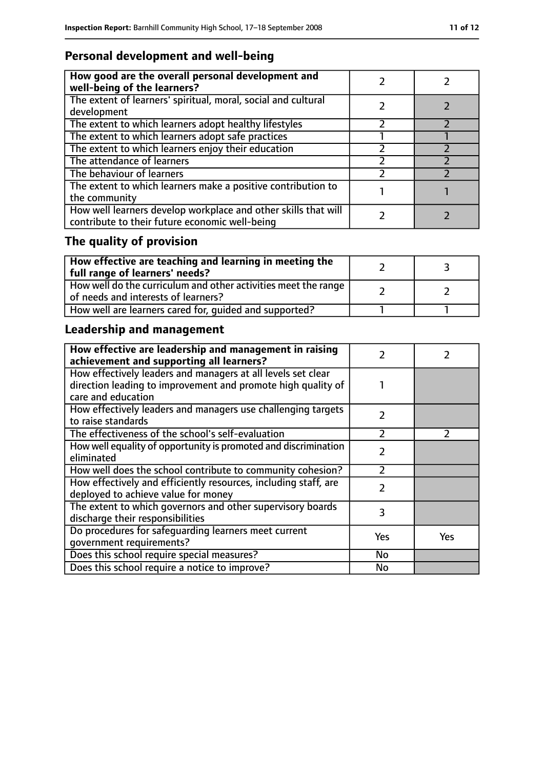### **Personal development and well-being**

| How good are the overall personal development and<br>well-being of the learners?                                 |  |
|------------------------------------------------------------------------------------------------------------------|--|
| The extent of learners' spiritual, moral, social and cultural<br>development                                     |  |
| The extent to which learners adopt healthy lifestyles                                                            |  |
| The extent to which learners adopt safe practices                                                                |  |
| The extent to which learners enjoy their education                                                               |  |
| The attendance of learners                                                                                       |  |
| The behaviour of learners                                                                                        |  |
| The extent to which learners make a positive contribution to<br>the community                                    |  |
| How well learners develop workplace and other skills that will<br>contribute to their future economic well-being |  |

## **The quality of provision**

| $\mid$ How effective are teaching and learning in meeting the<br>full range of learners' needs?       |  |
|-------------------------------------------------------------------------------------------------------|--|
| How well do the curriculum and other activities meet the range<br>of needs and interests of learners? |  |
| How well are learners cared for, quided and supported?                                                |  |

### **Leadership and management**

| How effective are leadership and management in raising<br>achievement and supporting all learners?                                                 |               |               |
|----------------------------------------------------------------------------------------------------------------------------------------------------|---------------|---------------|
| How effectively leaders and managers at all levels set clear<br>direction leading to improvement and promote high quality of<br>care and education |               |               |
| How effectively leaders and managers use challenging targets<br>to raise standards                                                                 | $\mathcal{P}$ |               |
| The effectiveness of the school's self-evaluation                                                                                                  | $\mathcal{P}$ | $\mathcal{P}$ |
| How well equality of opportunity is promoted and discrimination<br>eliminated                                                                      | $\mathcal{P}$ |               |
| How well does the school contribute to community cohesion?                                                                                         | フ             |               |
| How effectively and efficiently resources, including staff, are<br>deployed to achieve value for money                                             | $\mathcal{P}$ |               |
| The extent to which governors and other supervisory boards<br>discharge their responsibilities                                                     | 3             |               |
| Do procedures for safequarding learners meet current<br>qovernment requirements?                                                                   | Yes           | Yes           |
| Does this school require special measures?                                                                                                         | <b>No</b>     |               |
| Does this school require a notice to improve?                                                                                                      | No            |               |